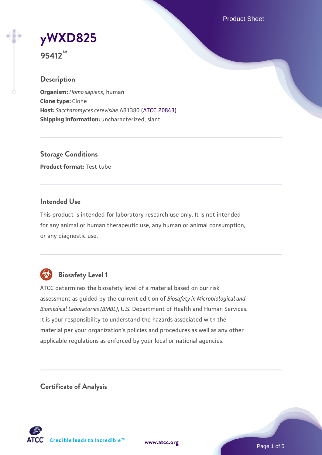Product Sheet

**[yWXD825](https://www.atcc.org/products/95412)**



#### **Description**

**Organism:** *Homo sapiens*, human **Clone type:** Clone **Host:** *Saccharomyces cerevisiae* AB1380 [\(ATCC 20843\)](https://www.atcc.org/products/20843) **Shipping information:** uncharacterized, slant

**Storage Conditions Product format:** Test tube

## **Intended Use**

This product is intended for laboratory research use only. It is not intended for any animal or human therapeutic use, any human or animal consumption, or any diagnostic use.



# **Biosafety Level 1**

ATCC determines the biosafety level of a material based on our risk assessment as guided by the current edition of *Biosafety in Microbiological and Biomedical Laboratories (BMBL)*, U.S. Department of Health and Human Services. It is your responsibility to understand the hazards associated with the material per your organization's policies and procedures as well as any other applicable regulations as enforced by your local or national agencies.

**Certificate of Analysis**

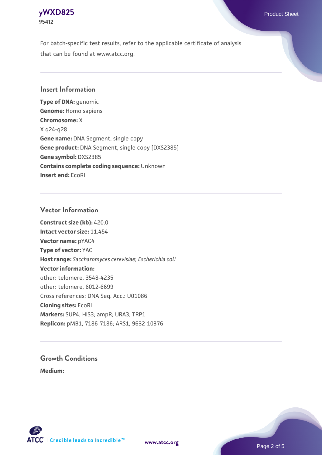# **[yWXD825](https://www.atcc.org/products/95412)** Product Sheet **95412**

For batch-specific test results, refer to the applicable certificate of analysis that can be found at www.atcc.org.

## **Insert Information**

**Type of DNA:** genomic **Genome:** Homo sapiens **Chromosome:** X X q24-q28 **Gene name:** DNA Segment, single copy **Gene product:** DNA Segment, single copy [DXS2385] **Gene symbol:** DXS2385 **Contains complete coding sequence:** Unknown **Insert end:** EcoRI

### **Vector Information**

**Construct size (kb):** 420.0 **Intact vector size:** 11.454 **Vector name:** pYAC4 **Type of vector:** YAC **Host range:** *Saccharomyces cerevisiae*; *Escherichia coli* **Vector information:** other: telomere, 3548-4235 other: telomere, 6012-6699 Cross references: DNA Seq. Acc.: U01086 **Cloning sites:** EcoRI **Markers:** SUP4; HIS3; ampR; URA3; TRP1 **Replicon:** pMB1, 7186-7186; ARS1, 9632-10376

# **Growth Conditions**

**Medium:** 



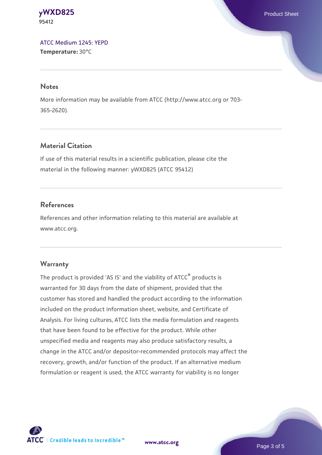**[yWXD825](https://www.atcc.org/products/95412)** Product Sheet **95412**

[ATCC Medium 1245: YEPD](https://www.atcc.org/-/media/product-assets/documents/microbial-media-formulations/1/2/4/5/atcc-medium-1245.pdf?rev=705ca55d1b6f490a808a965d5c072196) **Temperature:** 30°C

#### **Notes**

More information may be available from ATCC (http://www.atcc.org or 703- 365-2620).

## **Material Citation**

If use of this material results in a scientific publication, please cite the material in the following manner: yWXD825 (ATCC 95412)

### **References**

References and other information relating to this material are available at www.atcc.org.

#### **Warranty**

The product is provided 'AS IS' and the viability of ATCC® products is warranted for 30 days from the date of shipment, provided that the customer has stored and handled the product according to the information included on the product information sheet, website, and Certificate of Analysis. For living cultures, ATCC lists the media formulation and reagents that have been found to be effective for the product. While other unspecified media and reagents may also produce satisfactory results, a change in the ATCC and/or depositor-recommended protocols may affect the recovery, growth, and/or function of the product. If an alternative medium formulation or reagent is used, the ATCC warranty for viability is no longer

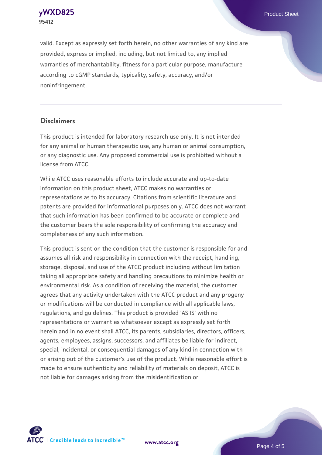**[yWXD825](https://www.atcc.org/products/95412)** Product Sheet **95412**

valid. Except as expressly set forth herein, no other warranties of any kind are provided, express or implied, including, but not limited to, any implied warranties of merchantability, fitness for a particular purpose, manufacture according to cGMP standards, typicality, safety, accuracy, and/or noninfringement.

#### **Disclaimers**

This product is intended for laboratory research use only. It is not intended for any animal or human therapeutic use, any human or animal consumption, or any diagnostic use. Any proposed commercial use is prohibited without a license from ATCC.

While ATCC uses reasonable efforts to include accurate and up-to-date information on this product sheet, ATCC makes no warranties or representations as to its accuracy. Citations from scientific literature and patents are provided for informational purposes only. ATCC does not warrant that such information has been confirmed to be accurate or complete and the customer bears the sole responsibility of confirming the accuracy and completeness of any such information.

This product is sent on the condition that the customer is responsible for and assumes all risk and responsibility in connection with the receipt, handling, storage, disposal, and use of the ATCC product including without limitation taking all appropriate safety and handling precautions to minimize health or environmental risk. As a condition of receiving the material, the customer agrees that any activity undertaken with the ATCC product and any progeny or modifications will be conducted in compliance with all applicable laws, regulations, and guidelines. This product is provided 'AS IS' with no representations or warranties whatsoever except as expressly set forth herein and in no event shall ATCC, its parents, subsidiaries, directors, officers, agents, employees, assigns, successors, and affiliates be liable for indirect, special, incidental, or consequential damages of any kind in connection with or arising out of the customer's use of the product. While reasonable effort is made to ensure authenticity and reliability of materials on deposit, ATCC is not liable for damages arising from the misidentification or



**[www.atcc.org](http://www.atcc.org)**

Page 4 of 5